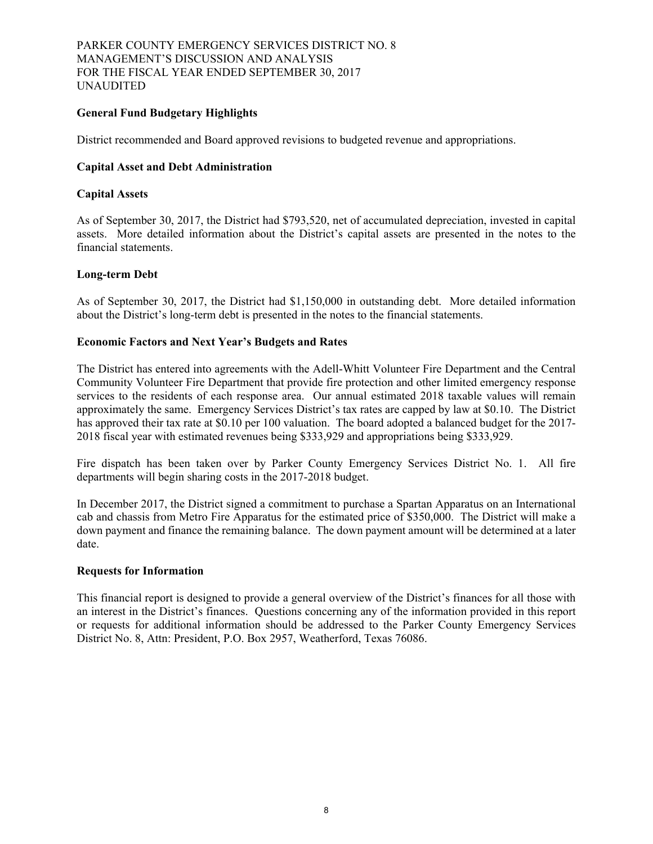#### PARKER COUNTY EMERGENCY SERVICES DISTRICT NO. 8 MANAGEMENT'S DISCUSSION AND ANALYSIS FOR THE FISCAL YEAR ENDED SEPTEMBER 30, 2017 UNAUDITED

#### **General Fund Budgetary Highlights**

District recommended and Board approved revisions to budgeted revenue and appropriations.

#### **Capital Asset and Debt Administration**

#### **Capital Assets**

As of September 30, 2017, the District had \$793,520, net of accumulated depreciation, invested in capital assets. More detailed information about the District's capital assets are presented in the notes to the financial statements.

#### **Long-term Debt**

As of September 30, 2017, the District had \$1,150,000 in outstanding debt. More detailed information about the District's long-term debt is presented in the notes to the financial statements.

#### **Economic Factors and Next Year's Budgets and Rates**

The District has entered into agreements with the Adell-Whitt Volunteer Fire Department and the Central Community Volunteer Fire Department that provide fire protection and other limited emergency response services to the residents of each response area. Our annual estimated 2018 taxable values will remain approximately the same. Emergency Services District's tax rates are capped by law at \$0.10. The District has approved their tax rate at \$0.10 per 100 valuation. The board adopted a balanced budget for the 2017-2018 fiscal year with estimated revenues being \$333,929 and appropriations being \$333,929.

Fire dispatch has been taken over by Parker County Emergency Services District No. 1. All fire departments will begin sharing costs in the 2017-2018 budget.

In December 2017, the District signed a commitment to purchase a Spartan Apparatus on an International cab and chassis from Metro Fire Apparatus for the estimated price of \$350,000. The District will make a down payment and finance the remaining balance. The down payment amount will be determined at a later date.

#### **Requests for Information**

This financial report is designed to provide a general overview of the District's finances for all those with an interest in the District's finances. Questions concerning any of the information provided in this report or requests for additional information should be addressed to the Parker County Emergency Services District No. 8, Attn: President, P.O. Box 2957, Weatherford, Texas 76086.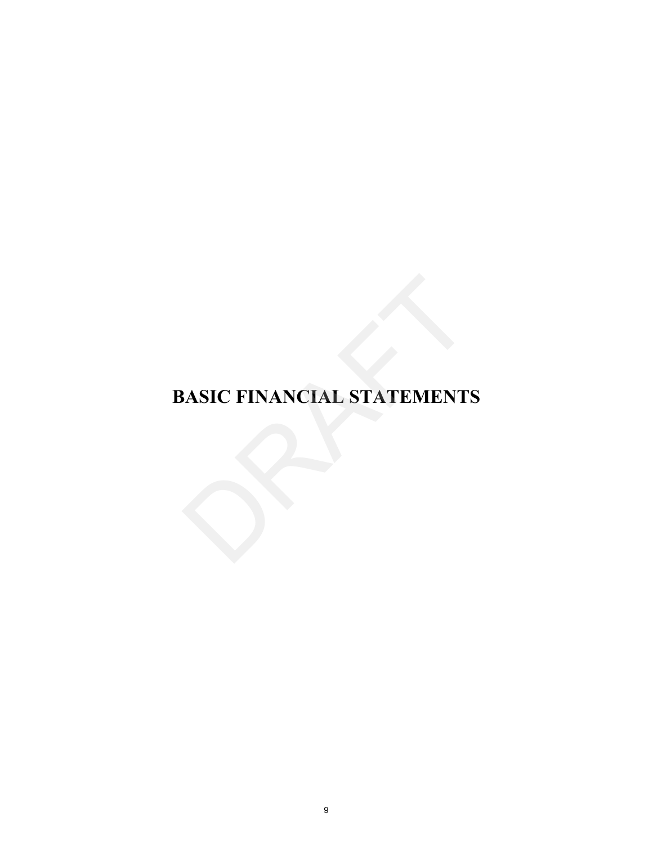**BASIC FINANCIAL STATEMENTS**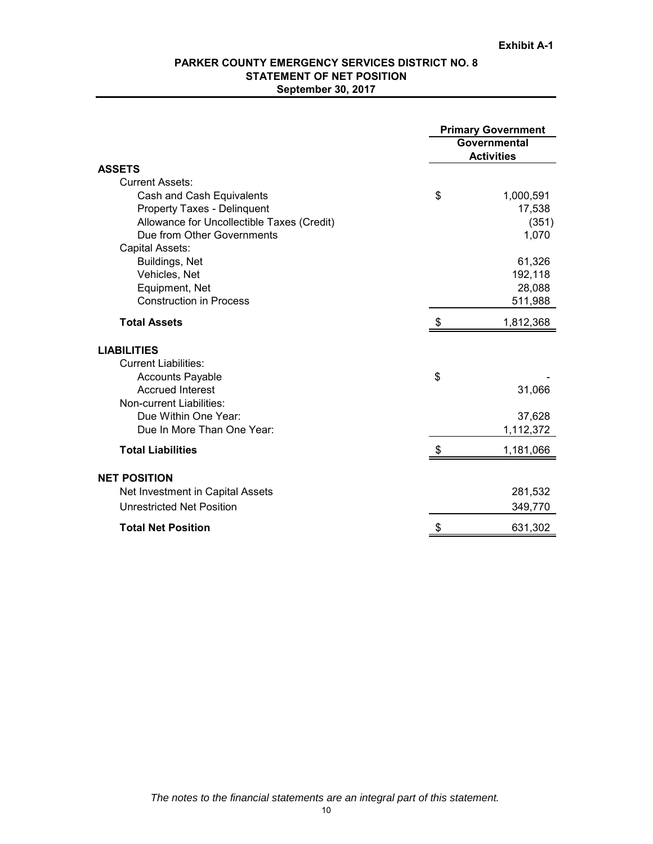#### **PARKER COUNTY EMERGENCY SERVICES DISTRICT NO. 8 STATEMENT OF NET POSITION September 30, 2017**

|                                            | <b>Primary Government</b> |
|--------------------------------------------|---------------------------|
|                                            | <b>Governmental</b>       |
| <b>ASSETS</b>                              | <b>Activities</b>         |
| <b>Current Assets:</b>                     |                           |
| Cash and Cash Equivalents                  | \$<br>1,000,591           |
| <b>Property Taxes - Delinquent</b>         | 17,538                    |
| Allowance for Uncollectible Taxes (Credit) | (351)                     |
| Due from Other Governments                 | 1,070                     |
| <b>Capital Assets:</b>                     |                           |
| Buildings, Net                             | 61,326                    |
| Vehicles, Net                              | 192,118                   |
| Equipment, Net                             | 28,088                    |
| <b>Construction in Process</b>             | 511,988                   |
| <b>Total Assets</b>                        | 1,812,368                 |
| <b>LIABILITIES</b>                         |                           |
| <b>Current Liabilities:</b>                |                           |
| <b>Accounts Payable</b>                    | \$                        |
| <b>Accrued Interest</b>                    | 31,066                    |
| Non-current Liabilities:                   |                           |
| Due Within One Year:                       | 37,628                    |
| Due In More Than One Year:                 | 1,112,372                 |
| <b>Total Liabilities</b>                   | 1,181,066                 |
| <b>NET POSITION</b>                        |                           |
| Net Investment in Capital Assets           | 281,532                   |
|                                            |                           |
| <b>Unrestricted Net Position</b>           | 349,770                   |
| <b>Total Net Position</b>                  | \$<br>631,302             |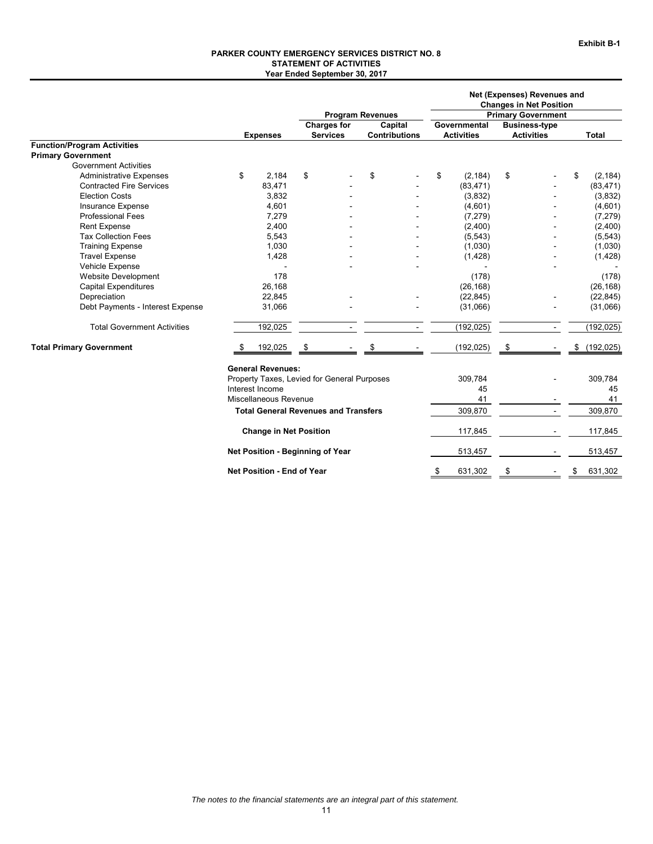#### **PARKER COUNTY EMERGENCY SERVICES DISTRICT NO. 8 STATEMENT OF ACTIVITIES Year Ended September 30, 2017**

|                                    |    |                                                                                                                                                                                                                                         |                    |                         |    |                                                      | Net (Expenses) Revenues and<br><b>Changes in Net Position</b> |    |                                                      |  |
|------------------------------------|----|-----------------------------------------------------------------------------------------------------------------------------------------------------------------------------------------------------------------------------------------|--------------------|-------------------------|----|------------------------------------------------------|---------------------------------------------------------------|----|------------------------------------------------------|--|
|                                    |    |                                                                                                                                                                                                                                         |                    | <b>Program Revenues</b> |    |                                                      | <b>Primary Government</b>                                     |    |                                                      |  |
|                                    |    |                                                                                                                                                                                                                                         | <b>Charges for</b> | Capital                 |    | Governmental                                         | <b>Business-type</b>                                          |    |                                                      |  |
|                                    |    | <b>Expenses</b>                                                                                                                                                                                                                         | <b>Services</b>    | <b>Contributions</b>    |    | <b>Activities</b>                                    | <b>Activities</b>                                             |    | <b>Total</b>                                         |  |
| <b>Function/Program Activities</b> |    |                                                                                                                                                                                                                                         |                    |                         |    |                                                      |                                                               |    |                                                      |  |
| <b>Primary Government</b>          |    |                                                                                                                                                                                                                                         |                    |                         |    |                                                      |                                                               |    |                                                      |  |
| <b>Government Activities</b>       |    |                                                                                                                                                                                                                                         |                    |                         |    |                                                      |                                                               |    |                                                      |  |
| <b>Administrative Expenses</b>     | \$ | 2,184                                                                                                                                                                                                                                   | \$                 | \$                      | \$ | (2, 184)                                             | \$                                                            | \$ | (2, 184)                                             |  |
| <b>Contracted Fire Services</b>    |    | 83,471                                                                                                                                                                                                                                  |                    |                         |    | (83, 471)                                            |                                                               |    | (83, 471)                                            |  |
| <b>Election Costs</b>              |    | 3,832                                                                                                                                                                                                                                   |                    |                         |    | (3,832)                                              |                                                               |    | (3,832)                                              |  |
| Insurance Expense                  |    | 4,601                                                                                                                                                                                                                                   |                    |                         |    | (4,601)                                              |                                                               |    | (4,601)                                              |  |
| <b>Professional Fees</b>           |    | 7,279                                                                                                                                                                                                                                   |                    |                         |    | (7, 279)                                             |                                                               |    | (7, 279)                                             |  |
| <b>Rent Expense</b>                |    | 2,400                                                                                                                                                                                                                                   |                    |                         |    | (2,400)                                              |                                                               |    | (2,400)                                              |  |
| <b>Tax Collection Fees</b>         |    | 5,543                                                                                                                                                                                                                                   |                    |                         |    | (5, 543)                                             |                                                               |    | (5, 543)                                             |  |
| <b>Training Expense</b>            |    | 1,030                                                                                                                                                                                                                                   |                    |                         |    | (1,030)                                              |                                                               |    | (1,030)                                              |  |
| <b>Travel Expense</b>              |    | 1,428                                                                                                                                                                                                                                   |                    |                         |    | (1, 428)                                             |                                                               |    | (1,428)                                              |  |
| Vehicle Expense                    |    |                                                                                                                                                                                                                                         |                    |                         |    |                                                      |                                                               |    |                                                      |  |
| <b>Website Development</b>         |    | 178                                                                                                                                                                                                                                     |                    |                         |    | (178)                                                |                                                               |    | (178)                                                |  |
| <b>Capital Expenditures</b>        |    | 26,168                                                                                                                                                                                                                                  |                    |                         |    | (26, 168)                                            |                                                               |    | (26, 168)                                            |  |
| Depreciation                       |    | 22,845                                                                                                                                                                                                                                  |                    |                         |    | (22, 845)                                            |                                                               |    | (22, 845)                                            |  |
| Debt Payments - Interest Expense   |    | 31,066                                                                                                                                                                                                                                  |                    |                         |    | (31,066)                                             |                                                               |    | (31,066)                                             |  |
| <b>Total Government Activities</b> |    | 192,025                                                                                                                                                                                                                                 |                    |                         |    | (192, 025)                                           | $\blacksquare$                                                |    | (192, 025)                                           |  |
| <b>Total Primary Government</b>    |    | 192,025                                                                                                                                                                                                                                 | \$                 |                         |    | (192, 025)                                           | \$                                                            | \$ | (192, 025)                                           |  |
|                                    |    | <b>General Revenues:</b><br>Property Taxes, Levied for General Purposes<br>Interest Income<br>Miscellaneous Revenue<br><b>Total General Revenues and Transfers</b><br><b>Change in Net Position</b><br>Net Position - Beginning of Year |                    |                         |    | 309,784<br>45<br>41<br>309,870<br>117,845<br>513,457 |                                                               |    | 309,784<br>45<br>41<br>309,870<br>117,845<br>513,457 |  |
|                                    |    | <b>Net Position - End of Year</b>                                                                                                                                                                                                       |                    |                         | \$ | 631,302                                              | \$                                                            | \$ | 631,302                                              |  |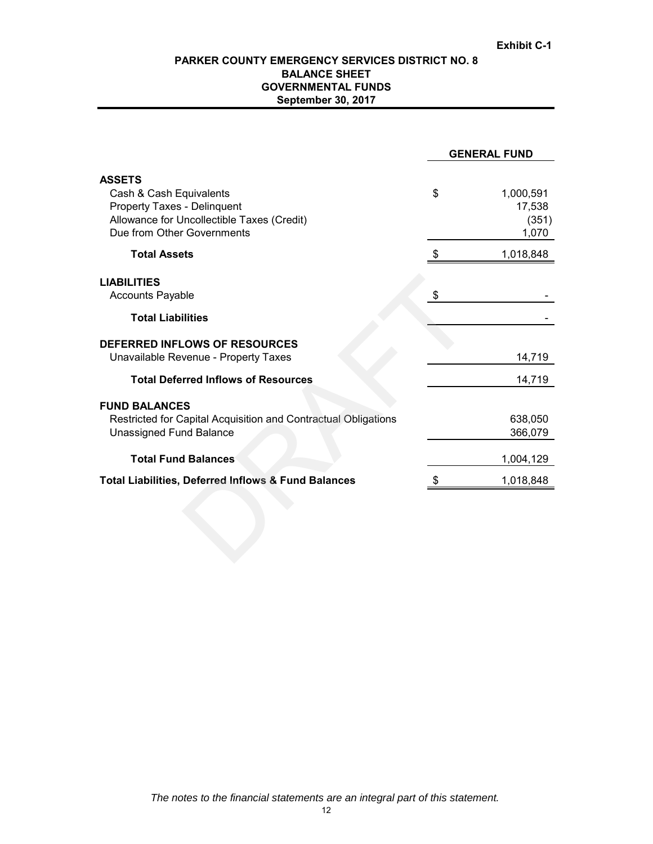#### **PARKER COUNTY EMERGENCY SERVICES DISTRICT NO. 8 BALANCE SHEET GOVERNMENTAL FUNDS September 30, 2017**

|                                                                                                                                                     | <b>GENERAL FUND</b>                         |
|-----------------------------------------------------------------------------------------------------------------------------------------------------|---------------------------------------------|
| <b>ASSETS</b><br>Cash & Cash Equivalents<br>Property Taxes - Delinquent<br>Allowance for Uncollectible Taxes (Credit)<br>Due from Other Governments | \$<br>1,000,591<br>17,538<br>(351)<br>1,070 |
| <b>Total Assets</b>                                                                                                                                 | 1,018,848                                   |
| <b>LIABILITIES</b><br><b>Accounts Payable</b><br><b>Total Liabilities</b>                                                                           | \$                                          |
| DEFERRED INFLOWS OF RESOURCES<br>Unavailable Revenue - Property Taxes                                                                               | 14,719                                      |
| <b>Total Deferred Inflows of Resources</b>                                                                                                          | 14,719                                      |
| <b>FUND BALANCES</b><br>Restricted for Capital Acquisition and Contractual Obligations<br><b>Unassigned Fund Balance</b>                            | 638,050<br>366,079                          |
| <b>Total Fund Balances</b>                                                                                                                          | 1,004,129                                   |
| <b>Total Liabilities, Deferred Inflows &amp; Fund Balances</b>                                                                                      | 1,018,848                                   |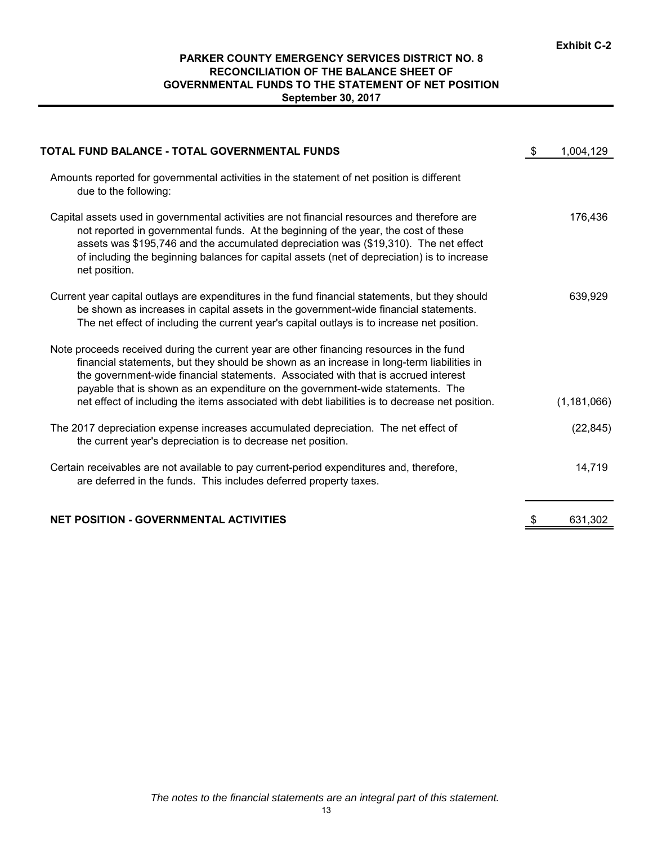#### **PARKER COUNTY EMERGENCY SERVICES DISTRICT NO. 8 RECONCILIATION OF THE BALANCE SHEET OF GOVERNMENTAL FUNDS TO THE STATEMENT OF NET POSITION September 30, 2017**

| TOTAL FUND BALANCE - TOTAL GOVERNMENTAL FUNDS                                                                                                                                                                                                                                                                                                                                               | \$<br>1,004,129 |
|---------------------------------------------------------------------------------------------------------------------------------------------------------------------------------------------------------------------------------------------------------------------------------------------------------------------------------------------------------------------------------------------|-----------------|
| Amounts reported for governmental activities in the statement of net position is different<br>due to the following:                                                                                                                                                                                                                                                                         |                 |
| Capital assets used in governmental activities are not financial resources and therefore are<br>not reported in governmental funds. At the beginning of the year, the cost of these<br>assets was \$195,746 and the accumulated depreciation was (\$19,310). The net effect<br>of including the beginning balances for capital assets (net of depreciation) is to increase<br>net position. | 176,436         |
| Current year capital outlays are expenditures in the fund financial statements, but they should<br>be shown as increases in capital assets in the government-wide financial statements.<br>The net effect of including the current year's capital outlays is to increase net position.                                                                                                      | 639,929         |
| Note proceeds received during the current year are other financing resources in the fund<br>financial statements, but they should be shown as an increase in long-term liabilities in<br>the government-wide financial statements. Associated with that is accrued interest<br>payable that is shown as an expenditure on the government-wide statements. The                               |                 |
| net effect of including the items associated with debt liabilities is to decrease net position.                                                                                                                                                                                                                                                                                             | (1, 181, 066)   |
| The 2017 depreciation expense increases accumulated depreciation. The net effect of<br>the current year's depreciation is to decrease net position.                                                                                                                                                                                                                                         | (22, 845)       |
| Certain receivables are not available to pay current-period expenditures and, therefore,<br>are deferred in the funds. This includes deferred property taxes.                                                                                                                                                                                                                               | 14,719          |
| <b>NET POSITION - GOVERNMENTAL ACTIVITIES</b>                                                                                                                                                                                                                                                                                                                                               | \$<br>631,302   |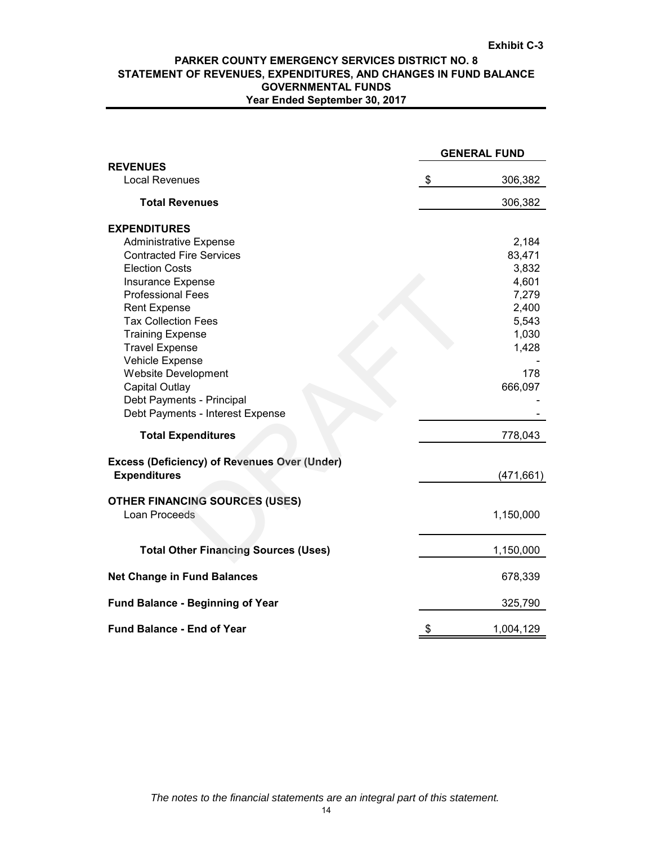#### **PARKER COUNTY EMERGENCY SERVICES DISTRICT NO. 8 STATEMENT OF REVENUES, EXPENDITURES, AND CHANGES IN FUND BALANCE GOVERNMENTAL FUNDS Year Ended September 30, 2017**

|                                                                            | <b>GENERAL FUND</b> |
|----------------------------------------------------------------------------|---------------------|
| <b>REVENUES</b>                                                            |                     |
| <b>Local Revenues</b>                                                      | \$<br>306,382       |
| <b>Total Revenues</b>                                                      | 306,382             |
| <b>EXPENDITURES</b>                                                        |                     |
| <b>Administrative Expense</b>                                              | 2,184               |
| <b>Contracted Fire Services</b>                                            | 83,471              |
| <b>Election Costs</b>                                                      | 3,832               |
| Insurance Expense                                                          | 4,601               |
| <b>Professional Fees</b>                                                   | 7,279               |
| <b>Rent Expense</b>                                                        | 2,400               |
| <b>Tax Collection Fees</b>                                                 | 5,543               |
| <b>Training Expense</b>                                                    | 1,030               |
| <b>Travel Expense</b>                                                      | 1,428               |
| Vehicle Expense                                                            |                     |
| <b>Website Development</b>                                                 | 178                 |
| <b>Capital Outlay</b>                                                      | 666,097             |
| Debt Payments - Principal                                                  |                     |
| Debt Payments - Interest Expense                                           |                     |
| <b>Total Expenditures</b>                                                  | 778,043             |
| <b>Excess (Deficiency) of Revenues Over (Under)</b><br><b>Expenditures</b> | (471, 661)          |
|                                                                            |                     |
| <b>OTHER FINANCING SOURCES (USES)</b><br>Loan Proceeds                     | 1,150,000           |
| <b>Total Other Financing Sources (Uses)</b>                                | 1,150,000           |
| <b>Net Change in Fund Balances</b>                                         | 678,339             |
| <b>Fund Balance - Beginning of Year</b>                                    | 325,790             |
| <b>Fund Balance - End of Year</b>                                          | \$<br>1,004,129     |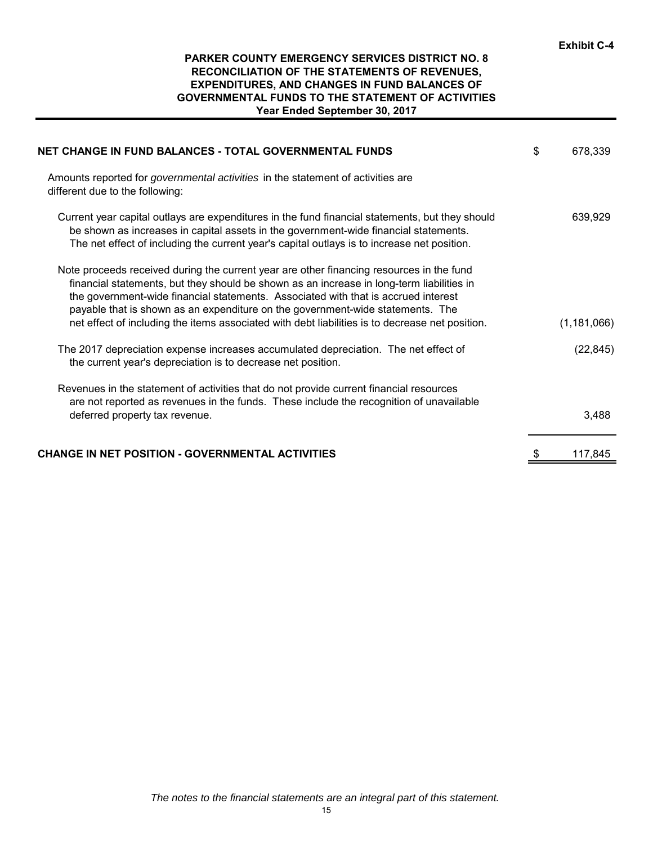#### **PARKER COUNTY EMERGENCY SERVICES DISTRICT NO. 8 RECONCILIATION OF THE STATEMENTS OF REVENUES, EXPENDITURES, AND CHANGES IN FUND BALANCES OF GOVERNMENTAL FUNDS TO THE STATEMENT OF ACTIVITIES Year Ended September 30, 2017**

| <b>NET CHANGE IN FUND BALANCES - TOTAL GOVERNMENTAL FUNDS</b>                                                                                                                                                                                                                                                                                                 | \$<br>678,339 |
|---------------------------------------------------------------------------------------------------------------------------------------------------------------------------------------------------------------------------------------------------------------------------------------------------------------------------------------------------------------|---------------|
| Amounts reported for <i>governmental activities</i> in the statement of activities are<br>different due to the following:                                                                                                                                                                                                                                     |               |
| Current year capital outlays are expenditures in the fund financial statements, but they should<br>be shown as increases in capital assets in the government-wide financial statements.<br>The net effect of including the current year's capital outlays is to increase net position.                                                                        | 639,929       |
| Note proceeds received during the current year are other financing resources in the fund<br>financial statements, but they should be shown as an increase in long-term liabilities in<br>the government-wide financial statements. Associated with that is accrued interest<br>payable that is shown as an expenditure on the government-wide statements. The |               |
| net effect of including the items associated with debt liabilities is to decrease net position.                                                                                                                                                                                                                                                               | (1, 181, 066) |
| The 2017 depreciation expense increases accumulated depreciation. The net effect of<br>the current year's depreciation is to decrease net position.                                                                                                                                                                                                           | (22, 845)     |
| Revenues in the statement of activities that do not provide current financial resources<br>are not reported as revenues in the funds. These include the recognition of unavailable                                                                                                                                                                            |               |
| deferred property tax revenue.                                                                                                                                                                                                                                                                                                                                | 3,488         |
| <b>CHANGE IN NET POSITION - GOVERNMENTAL ACTIVITIES</b>                                                                                                                                                                                                                                                                                                       | 117.845       |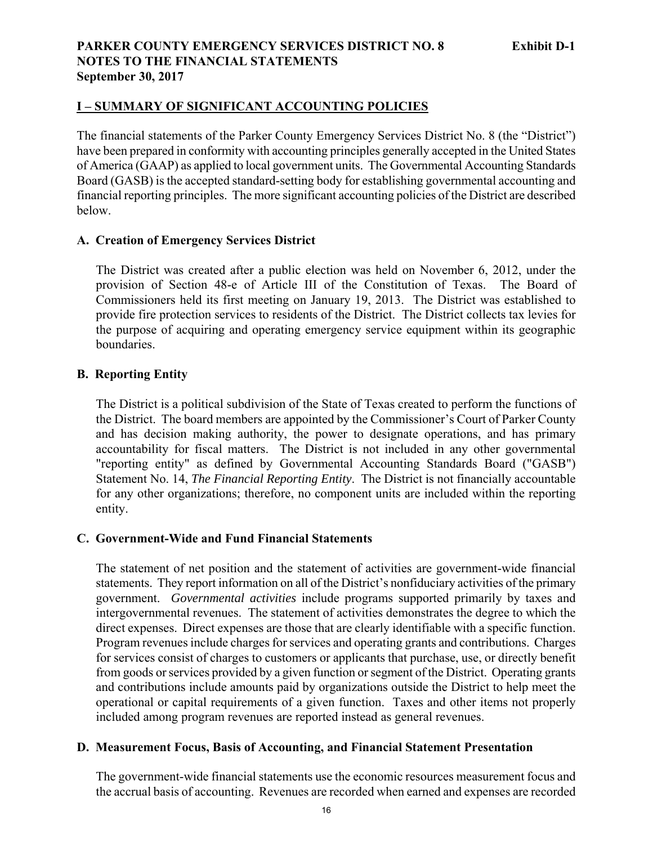#### **I – SUMMARY OF SIGNIFICANT ACCOUNTING POLICIES**

The financial statements of the Parker County Emergency Services District No. 8 (the "District") have been prepared in conformity with accounting principles generally accepted in the United States of America (GAAP) as applied to local government units. The Governmental Accounting Standards Board (GASB) is the accepted standard-setting body for establishing governmental accounting and financial reporting principles. The more significant accounting policies of the District are described below.

# **A. Creation of Emergency Services District**

The District was created after a public election was held on November 6, 2012, under the provision of Section 48-e of Article III of the Constitution of Texas. The Board of Commissioners held its first meeting on January 19, 2013. The District was established to provide fire protection services to residents of the District. The District collects tax levies for the purpose of acquiring and operating emergency service equipment within its geographic boundaries.

# **B. Reporting Entity**

The District is a political subdivision of the State of Texas created to perform the functions of the District. The board members are appointed by the Commissioner's Court of Parker County and has decision making authority, the power to designate operations, and has primary accountability for fiscal matters. The District is not included in any other governmental "reporting entity" as defined by Governmental Accounting Standards Board ("GASB") Statement No. 14, *The Financial Reporting Entity*. The District is not financially accountable for any other organizations; therefore, no component units are included within the reporting entity.

#### **C. Government-Wide and Fund Financial Statements**

The statement of net position and the statement of activities are government-wide financial statements. They report information on all of the District's nonfiduciary activities of the primary government. *Governmental activities* include programs supported primarily by taxes and intergovernmental revenues. The statement of activities demonstrates the degree to which the direct expenses. Direct expenses are those that are clearly identifiable with a specific function. Program revenues include charges for services and operating grants and contributions. Charges for services consist of charges to customers or applicants that purchase, use, or directly benefit from goods or services provided by a given function or segment of the District. Operating grants and contributions include amounts paid by organizations outside the District to help meet the operational or capital requirements of a given function. Taxes and other items not properly included among program revenues are reported instead as general revenues.

#### **D. Measurement Focus, Basis of Accounting, and Financial Statement Presentation**

The government-wide financial statements use the economic resources measurement focus and the accrual basis of accounting. Revenues are recorded when earned and expenses are recorded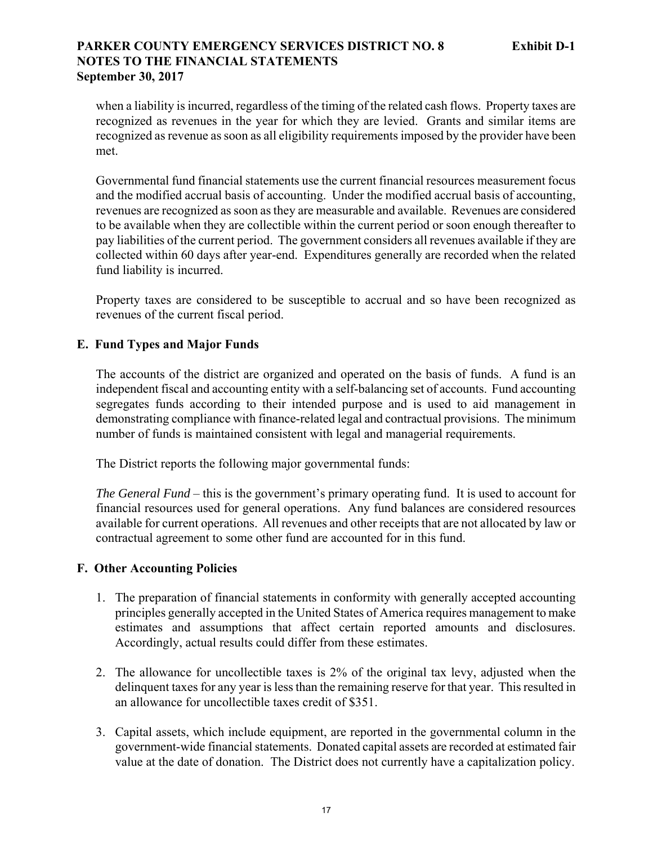when a liability is incurred, regardless of the timing of the related cash flows. Property taxes are recognized as revenues in the year for which they are levied. Grants and similar items are recognized as revenue as soon as all eligibility requirements imposed by the provider have been met.

Governmental fund financial statements use the current financial resources measurement focus and the modified accrual basis of accounting. Under the modified accrual basis of accounting, revenues are recognized as soon as they are measurable and available. Revenues are considered to be available when they are collectible within the current period or soon enough thereafter to pay liabilities of the current period. The government considers all revenues available if they are collected within 60 days after year-end. Expenditures generally are recorded when the related fund liability is incurred.

Property taxes are considered to be susceptible to accrual and so have been recognized as revenues of the current fiscal period.

# **E. Fund Types and Major Funds**

The accounts of the district are organized and operated on the basis of funds. A fund is an independent fiscal and accounting entity with a self-balancing set of accounts. Fund accounting segregates funds according to their intended purpose and is used to aid management in demonstrating compliance with finance-related legal and contractual provisions. The minimum number of funds is maintained consistent with legal and managerial requirements.

The District reports the following major governmental funds:

*The General Fund* – this is the government's primary operating fund. It is used to account for financial resources used for general operations. Any fund balances are considered resources available for current operations. All revenues and other receipts that are not allocated by law or contractual agreement to some other fund are accounted for in this fund.

#### **F. Other Accounting Policies**

- 1. The preparation of financial statements in conformity with generally accepted accounting principles generally accepted in the United States of America requires management to make estimates and assumptions that affect certain reported amounts and disclosures. Accordingly, actual results could differ from these estimates.
- 2. The allowance for uncollectible taxes is 2% of the original tax levy, adjusted when the delinquent taxes for any year is less than the remaining reserve for that year. This resulted in an allowance for uncollectible taxes credit of \$351.
- 3. Capital assets, which include equipment, are reported in the governmental column in the government-wide financial statements. Donated capital assets are recorded at estimated fair value at the date of donation. The District does not currently have a capitalization policy.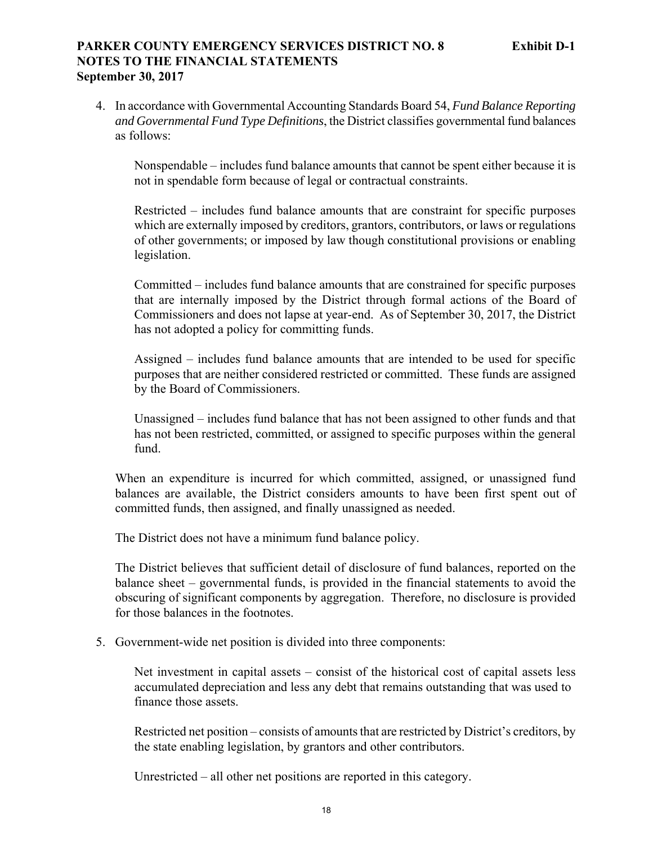4. In accordance with Governmental Accounting Standards Board 54, *Fund Balance Reporting and Governmental Fund Type Definitions*, the District classifies governmental fund balances as follows:

Nonspendable – includes fund balance amounts that cannot be spent either because it is not in spendable form because of legal or contractual constraints.

Restricted – includes fund balance amounts that are constraint for specific purposes which are externally imposed by creditors, grantors, contributors, or laws or regulations of other governments; or imposed by law though constitutional provisions or enabling legislation.

Committed – includes fund balance amounts that are constrained for specific purposes that are internally imposed by the District through formal actions of the Board of Commissioners and does not lapse at year-end. As of September 30, 2017, the District has not adopted a policy for committing funds.

Assigned – includes fund balance amounts that are intended to be used for specific purposes that are neither considered restricted or committed. These funds are assigned by the Board of Commissioners.

Unassigned – includes fund balance that has not been assigned to other funds and that has not been restricted, committed, or assigned to specific purposes within the general fund.

When an expenditure is incurred for which committed, assigned, or unassigned fund balances are available, the District considers amounts to have been first spent out of committed funds, then assigned, and finally unassigned as needed.

The District does not have a minimum fund balance policy.

The District believes that sufficient detail of disclosure of fund balances, reported on the balance sheet – governmental funds, is provided in the financial statements to avoid the obscuring of significant components by aggregation. Therefore, no disclosure is provided for those balances in the footnotes.

5. Government-wide net position is divided into three components:

Net investment in capital assets – consist of the historical cost of capital assets less accumulated depreciation and less any debt that remains outstanding that was used to finance those assets.

Restricted net position – consists of amounts that are restricted by District's creditors, by the state enabling legislation, by grantors and other contributors.

Unrestricted – all other net positions are reported in this category.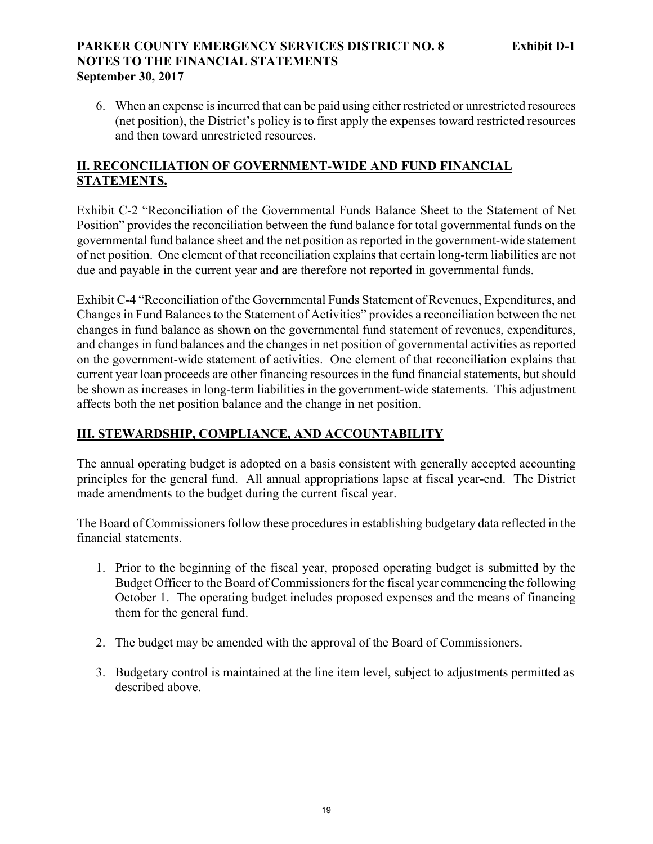6. When an expense is incurred that can be paid using either restricted or unrestricted resources (net position), the District's policy is to first apply the expenses toward restricted resources and then toward unrestricted resources.

# **II. RECONCILIATION OF GOVERNMENT-WIDE AND FUND FINANCIAL STATEMENTS.**

Exhibit C-2 "Reconciliation of the Governmental Funds Balance Sheet to the Statement of Net Position" provides the reconciliation between the fund balance for total governmental funds on the governmental fund balance sheet and the net position as reported in the government-wide statement of net position. One element of that reconciliation explains that certain long-term liabilities are not due and payable in the current year and are therefore not reported in governmental funds.

Exhibit C-4 "Reconciliation of the Governmental Funds Statement of Revenues, Expenditures, and Changes in Fund Balances to the Statement of Activities" provides a reconciliation between the net changes in fund balance as shown on the governmental fund statement of revenues, expenditures, and changes in fund balances and the changes in net position of governmental activities as reported on the government-wide statement of activities. One element of that reconciliation explains that current year loan proceeds are other financing resources in the fund financial statements, but should be shown as increases in long-term liabilities in the government-wide statements. This adjustment affects both the net position balance and the change in net position.

# **III. STEWARDSHIP, COMPLIANCE, AND ACCOUNTABILITY**

The annual operating budget is adopted on a basis consistent with generally accepted accounting principles for the general fund. All annual appropriations lapse at fiscal year-end. The District made amendments to the budget during the current fiscal year.

The Board of Commissioners follow these procedures in establishing budgetary data reflected in the financial statements.

- 1. Prior to the beginning of the fiscal year, proposed operating budget is submitted by the Budget Officer to the Board of Commissioners for the fiscal year commencing the following October 1. The operating budget includes proposed expenses and the means of financing them for the general fund.
- 2. The budget may be amended with the approval of the Board of Commissioners.
- 3. Budgetary control is maintained at the line item level, subject to adjustments permitted as described above.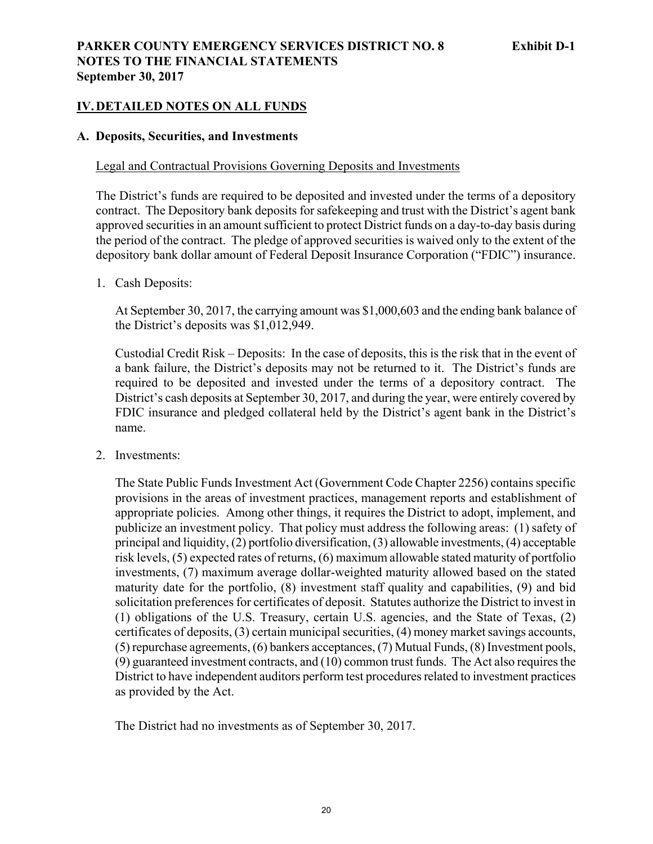#### **IV. DETAILED NOTES ON ALL FUNDS**

#### **A. Deposits, Securities, and Investments**

#### Legal and Contractual Provisions Governing Deposits and Investments

The District's funds are required to be deposited and invested under the terms of a depository contract. The Depository bank deposits for safekeeping and trust with the District's agent bank approved securities in an amount sufficient to protect District funds on a day-to-day basis during the period of the contract. The pledge of approved securities is waived only to the extent of the depository bank dollar amount of Federal Deposit Insurance Corporation ("FDIC") insurance.

1. Cash Deposits:

At September 30, 2017, the carrying amount was \$1,000,603 and the ending bank balance of the District's deposits was \$1,012,949.

Custodial Credit Risk – Deposits: In the case of deposits, this is the risk that in the event of a bank failure, the District's deposits may not be returned to it. The District's funds are required to be deposited and invested under the terms of a depository contract. The District's cash deposits at September 30, 2017, and during the year, were entirely covered by FDIC insurance and pledged collateral held by the District's agent bank in the District's name.

2. Investments:

The State Public Funds Investment Act (Government Code Chapter 2256) contains specific provisions in the areas of investment practices, management reports and establishment of appropriate policies. Among other things, it requires the District to adopt, implement, and publicize an investment policy. That policy must address the following areas: (1) safety of principal and liquidity, (2) portfolio diversification, (3) allowable investments, (4) acceptable risk levels, (5) expected rates of returns, (6) maximum allowable stated maturity of portfolio investments, (7) maximum average dollar-weighted maturity allowed based on the stated maturity date for the portfolio, (8) investment staff quality and capabilities, (9) and bid solicitation preferences for certificates of deposit. Statutes authorize the District to invest in (1) obligations of the U.S. Treasury, certain U.S. agencies, and the State of Texas, (2) certificates of deposits, (3) certain municipal securities, (4) money market savings accounts, (5) repurchase agreements, (6) bankers acceptances, (7) Mutual Funds, (8) Investment pools, (9) guaranteed investment contracts, and (10) common trust funds. The Act also requires the District to have independent auditors perform test procedures related to investment practices as provided by the Act.

The District had no investments as of September 30, 2017.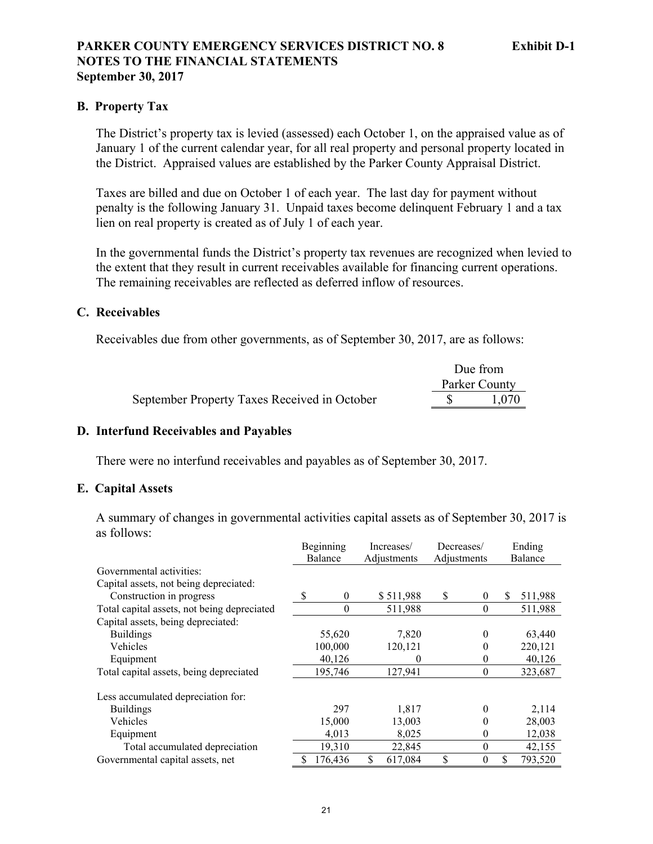#### **B. Property Tax**

The District's property tax is levied (assessed) each October 1, on the appraised value as of January 1 of the current calendar year, for all real property and personal property located in the District. Appraised values are established by the Parker County Appraisal District.

Taxes are billed and due on October 1 of each year. The last day for payment without penalty is the following January 31. Unpaid taxes become delinquent February 1 and a tax lien on real property is created as of July 1 of each year.

In the governmental funds the District's property tax revenues are recognized when levied to the extent that they result in current receivables available for financing current operations. The remaining receivables are reflected as deferred inflow of resources.

#### **C. Receivables**

Receivables due from other governments, as of September 30, 2017, are as follows:

|                                              | Due from      |
|----------------------------------------------|---------------|
|                                              | Parker County |
| September Property Taxes Received in October | 1,070         |

#### **D. Interfund Receivables and Payables**

There were no interfund receivables and payables as of September 30, 2017.

#### **E. Capital Assets**

A summary of changes in governmental activities capital assets as of September 30, 2017 is as follows: Beginning

|                                             | Beginning<br>Balance | Increases/<br>Adjustments | Decreases/<br>Adjustments |                  |    | Ending<br>Balance |
|---------------------------------------------|----------------------|---------------------------|---------------------------|------------------|----|-------------------|
| Governmental activities:                    |                      |                           |                           |                  |    |                   |
| Capital assets, not being depreciated:      |                      |                           |                           |                  |    |                   |
| Construction in progress                    | S<br>$\theta$        | \$511,988                 | \$                        | $\mathbf{0}$     | S  | 511,988           |
| Total capital assets, not being depreciated | $\theta$             | 511,988                   |                           | $\theta$         |    | 511,988           |
| Capital assets, being depreciated:          |                      |                           |                           |                  |    |                   |
| <b>Buildings</b>                            | 55,620               | 7,820                     |                           | 0                |    | 63,440            |
| Vehicles                                    | 100,000              | 120,121                   |                           | 0                |    | 220,121           |
| Equipment                                   | 40,126               | 0                         |                           | 0                |    | 40,126            |
| Total capital assets, being depreciated     | 195,746              | 127,941                   |                           | $\theta$         |    | 323,687           |
| Less accumulated depreciation for:          |                      |                           |                           |                  |    |                   |
| <b>Buildings</b>                            | 297                  | 1,817                     |                           | 0                |    | 2,114             |
| Vehicles                                    | 15,000               | 13,003                    |                           | $\theta$         |    | 28,003            |
| Equipment                                   | 4,013                | 8,025                     |                           | $\boldsymbol{0}$ |    | 12,038            |
| Total accumulated depreciation              | 19,310               | 22,845                    |                           | $\theta$         |    | 42,155            |
| Governmental capital assets, net            | 176,436              | \$<br>617.084             | \$                        | $\theta$         | \$ | 793,520           |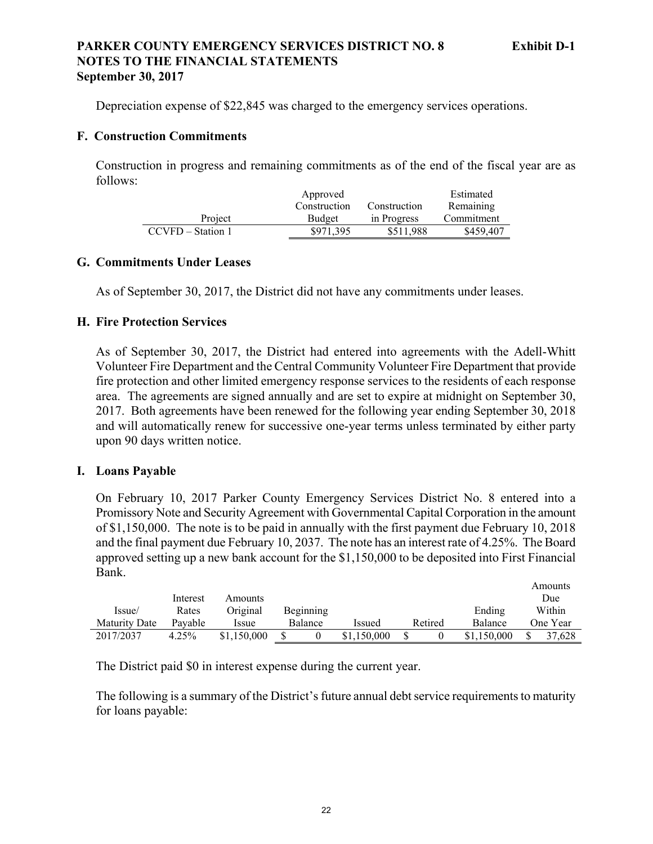Depreciation expense of \$22,845 was charged to the emergency services operations.

#### **F. Construction Commitments**

Construction in progress and remaining commitments as of the end of the fiscal year are as follows:

|                   | Approved     |              | Estimated  |
|-------------------|--------------|--------------|------------|
|                   | Construction | Construction | Remaining  |
| Project           | Budget       | in Progress  | Commitment |
| CCVFD – Station 1 | \$971,395    | \$511.988    | \$459,407  |

#### **G. Commitments Under Leases**

As of September 30, 2017, the District did not have any commitments under leases.

#### **H. Fire Protection Services**

As of September 30, 2017, the District had entered into agreements with the Adell-Whitt Volunteer Fire Department and the Central Community Volunteer Fire Department that provide fire protection and other limited emergency response services to the residents of each response area. The agreements are signed annually and are set to expire at midnight on September 30, 2017. Both agreements have been renewed for the following year ending September 30, 2018 and will automatically renew for successive one-year terms unless terminated by either party upon 90 days written notice.

#### **I. Loans Payable**

On February 10, 2017 Parker County Emergency Services District No. 8 entered into a Promissory Note and Security Agreement with Governmental Capital Corporation in the amount of \$1,150,000. The note is to be paid in annually with the first payment due February 10, 2018 and the final payment due February 10, 2037. The note has an interest rate of 4.25%. The Board approved setting up a new bank account for the \$1,150,000 to be deposited into First Financial Bank.

|                      |          |             |           |             |         |             | Amounts  |
|----------------------|----------|-------------|-----------|-------------|---------|-------------|----------|
|                      | Interest | Amounts     |           |             |         |             | Due      |
| <i>ssue</i>          | Rates    | Original    | Beginning |             |         | Ending      | Within   |
| <b>Maturity Date</b> | Pavable  | Issue       | Balance   | Issued      | Retired | Balance     | One Year |
| 2017/2037            | 4.25%    | \$1,150,000 |           | \$1,150,000 |         | \$1,150,000 | 37,628   |
|                      |          |             |           |             |         |             |          |

The District paid \$0 in interest expense during the current year.

The following is a summary of the District's future annual debt service requirements to maturity for loans payable: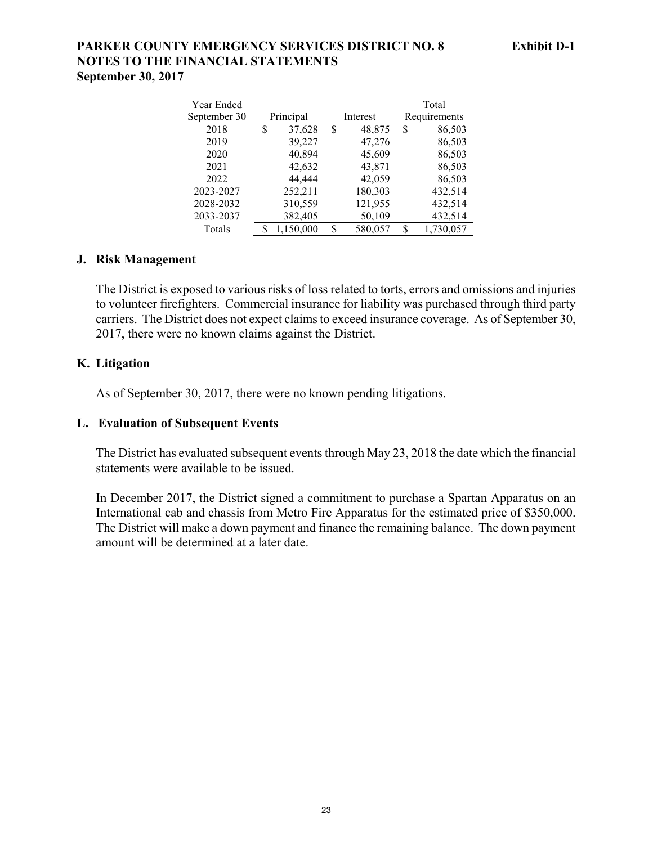| Year Ended   |    |           |    |          |              | Total     |  |
|--------------|----|-----------|----|----------|--------------|-----------|--|
| September 30 |    | Principal |    | Interest | Requirements |           |  |
| 2018         | \$ | 37,628    | \$ | 48,875   | \$           | 86,503    |  |
| 2019         |    | 39,227    |    | 47,276   |              | 86,503    |  |
| 2020         |    | 40,894    |    | 45,609   |              | 86,503    |  |
| 2021         |    | 42,632    |    | 43,871   |              | 86,503    |  |
| 2022         |    | 44,444    |    | 42,059   |              | 86,503    |  |
| 2023-2027    |    | 252,211   |    | 180,303  |              | 432,514   |  |
| 2028-2032    |    | 310,559   |    | 121,955  |              | 432,514   |  |
| 2033-2037    |    | 382,405   |    | 50,109   |              | 432,514   |  |
| Totals       | S  | 1.150.000 | S  | 580,057  | S            | 1,730,057 |  |

#### **J. Risk Management**

The District is exposed to various risks of loss related to torts, errors and omissions and injuries to volunteer firefighters. Commercial insurance for liability was purchased through third party carriers. The District does not expect claims to exceed insurance coverage. As of September 30, 2017, there were no known claims against the District.

### **K. Litigation**

As of September 30, 2017, there were no known pending litigations.

#### **L. Evaluation of Subsequent Events**

The District has evaluated subsequent events through May 23, 2018 the date which the financial statements were available to be issued.

In December 2017, the District signed a commitment to purchase a Spartan Apparatus on an International cab and chassis from Metro Fire Apparatus for the estimated price of \$350,000. The District will make a down payment and finance the remaining balance. The down payment amount will be determined at a later date.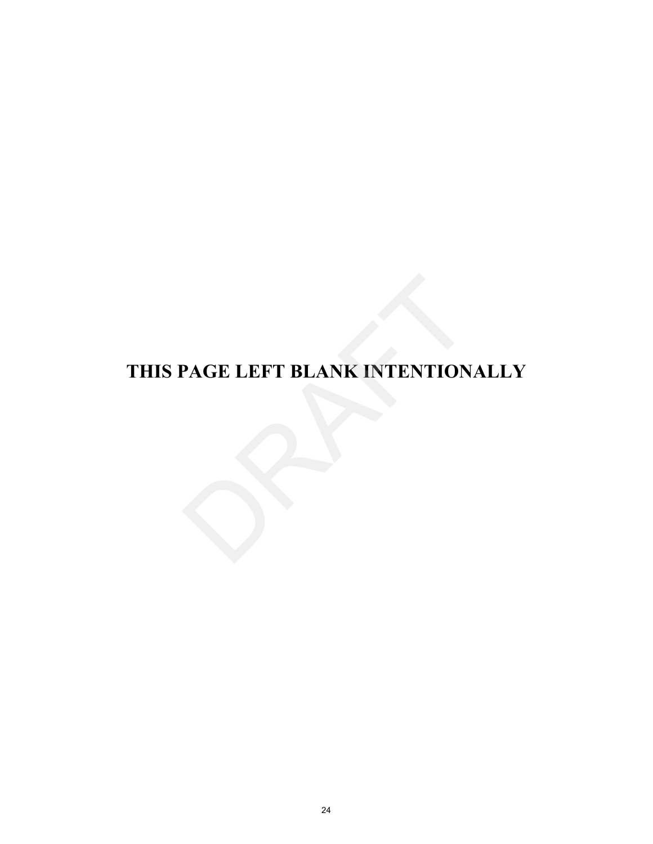# **THIS PAGE LEFT BLANK INTENTIONALLY**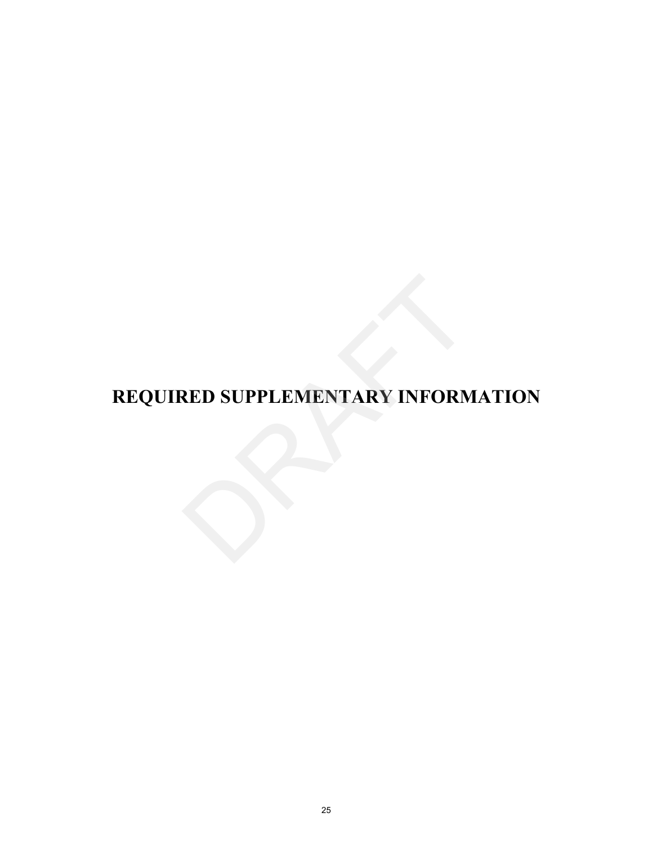# **REQUIRED SUPPLEMENTARY INFORMATION**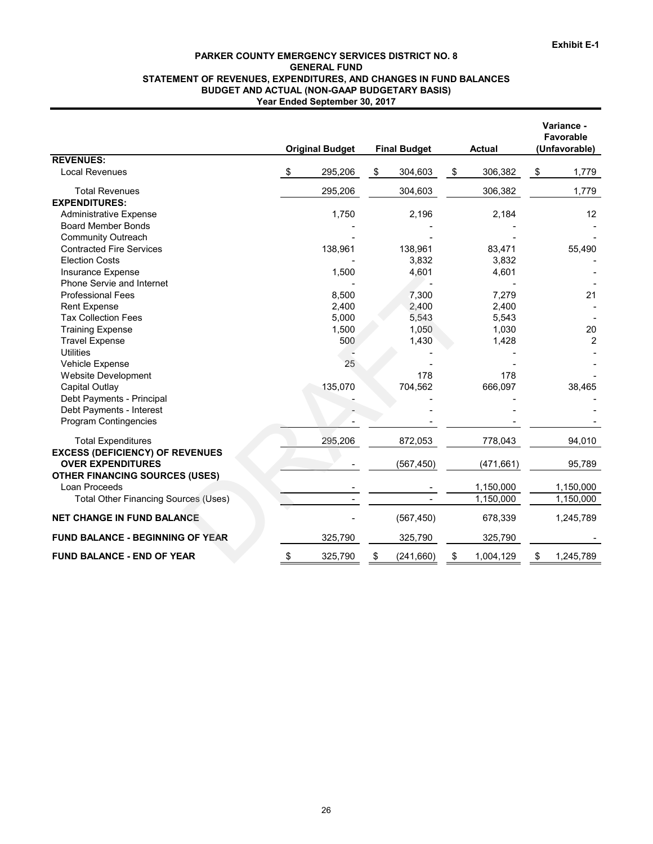#### **Year Ended September 30, 2017 PARKER COUNTY EMERGENCY SERVICES DISTRICT NO. 8 GENERAL FUND STATEMENT OF REVENUES, EXPENDITURES, AND CHANGES IN FUND BALANCES BUDGET AND ACTUAL (NON-GAAP BUDGETARY BASIS)**

|                                                                    | <b>Original Budget</b> | <b>Final Budget</b> | <b>Actual</b>   | Variance -<br><b>Favorable</b><br>(Unfavorable) |
|--------------------------------------------------------------------|------------------------|---------------------|-----------------|-------------------------------------------------|
| <b>REVENUES:</b>                                                   |                        |                     |                 |                                                 |
| <b>Local Revenues</b>                                              | \$<br>295,206          | \$<br>304,603       | \$<br>306,382   | \$<br>1,779                                     |
| <b>Total Revenues</b>                                              | 295,206                | 304,603             | 306,382         | 1,779                                           |
| <b>EXPENDITURES:</b>                                               |                        |                     |                 |                                                 |
| <b>Administrative Expense</b>                                      | 1,750                  | 2,196               | 2,184           | 12                                              |
| <b>Board Member Bonds</b>                                          |                        |                     |                 |                                                 |
| <b>Community Outreach</b>                                          |                        |                     |                 |                                                 |
| <b>Contracted Fire Services</b>                                    | 138,961                | 138,961             | 83,471          | 55,490                                          |
| <b>Election Costs</b>                                              |                        | 3,832               | 3,832           |                                                 |
| Insurance Expense                                                  | 1,500                  | 4,601               | 4,601           |                                                 |
| Phone Servie and Internet                                          |                        |                     |                 |                                                 |
| <b>Professional Fees</b>                                           | 8,500                  | 7,300               | 7,279           | 21                                              |
| <b>Rent Expense</b>                                                | 2,400                  | 2,400               | 2,400           |                                                 |
| <b>Tax Collection Fees</b>                                         | 5,000                  | 5,543               | 5,543           |                                                 |
| <b>Training Expense</b>                                            | 1,500                  | 1,050               | 1,030           | 20                                              |
| <b>Travel Expense</b>                                              | 500                    | 1,430               | 1,428           | $\overline{2}$                                  |
| <b>Utilities</b>                                                   |                        |                     |                 |                                                 |
| Vehicle Expense                                                    | 25                     |                     |                 |                                                 |
| Website Development                                                |                        | 178                 | 178             |                                                 |
| Capital Outlay                                                     | 135,070                | 704,562             | 666,097         | 38,465                                          |
| Debt Payments - Principal                                          |                        |                     |                 |                                                 |
| Debt Payments - Interest                                           |                        |                     |                 |                                                 |
| <b>Program Contingencies</b>                                       |                        |                     |                 |                                                 |
| <b>Total Expenditures</b>                                          | 295,206                | 872,053             | 778,043         | 94,010                                          |
| <b>EXCESS (DEFICIENCY) OF REVENUES</b><br><b>OVER EXPENDITURES</b> |                        | (567, 450)          | (471, 661)      | 95,789                                          |
| <b>OTHER FINANCING SOURCES (USES)</b><br>Loan Proceeds             |                        |                     |                 |                                                 |
|                                                                    |                        |                     | 1,150,000       | 1,150,000                                       |
| <b>Total Other Financing Sources (Uses)</b>                        |                        |                     | 1,150,000       | 1,150,000                                       |
| <b>NET CHANGE IN FUND BALANCE</b>                                  |                        | (567, 450)          | 678,339         | 1,245,789                                       |
| <b>FUND BALANCE - BEGINNING OF YEAR</b>                            | 325,790                | 325,790             | 325,790         |                                                 |
| <b>FUND BALANCE - END OF YEAR</b>                                  | \$<br>325,790          | \$<br>(241, 660)    | \$<br>1,004,129 | \$<br>1,245,789                                 |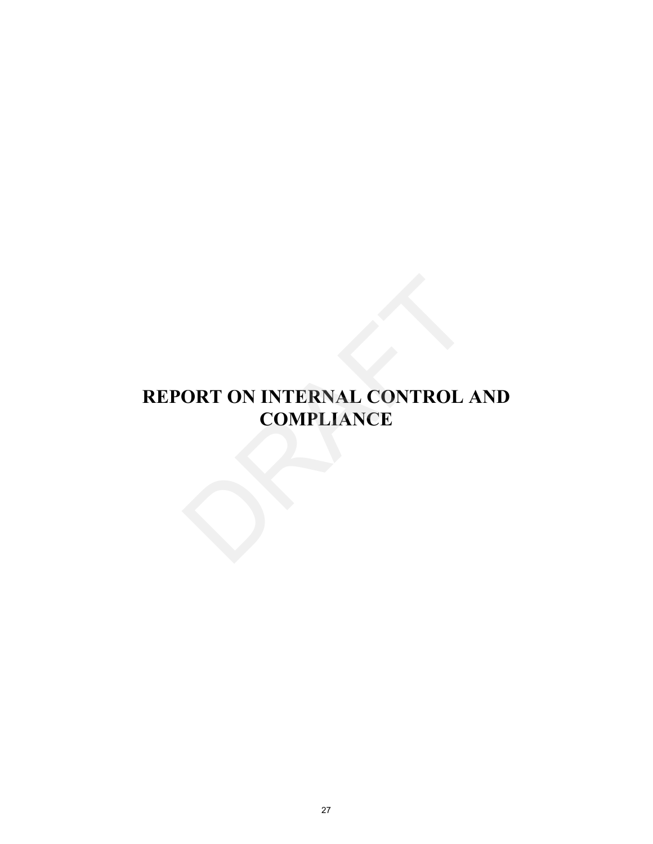# **REPORT ON INTERNAL CONTROL AND COMPLIANCE**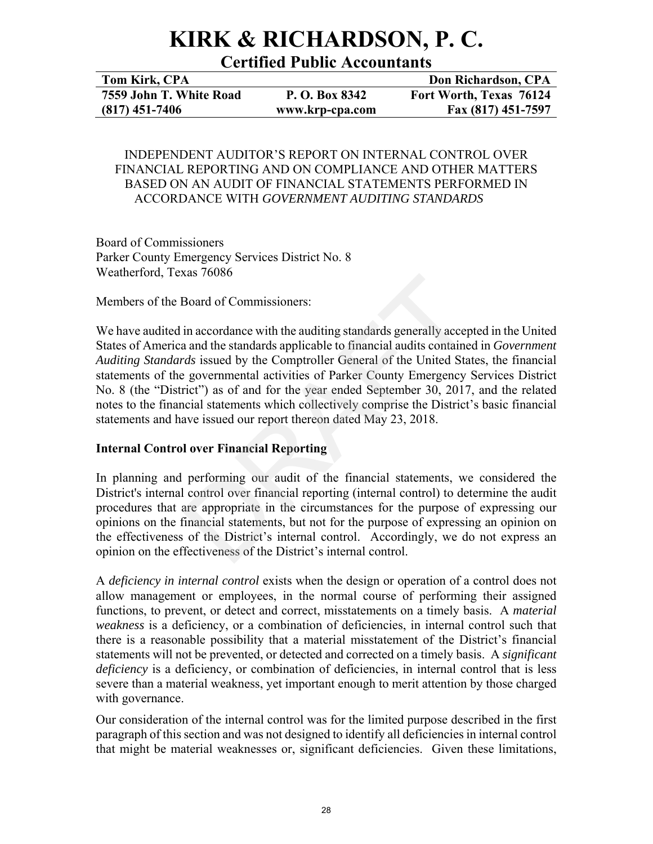# **KIRK & RICHARDSON, P. C.**

# **Certified Public Accountants**

| Tom Kirk, CPA           |                 | Don Richardson, CPA     |
|-------------------------|-----------------|-------------------------|
| 7559 John T. White Road | P. O. Box 8342  | Fort Worth, Texas 76124 |
| $(817)$ 451-7406        | www.krp-cpa.com | Fax (817) 451-7597      |

INDEPENDENT AUDITOR'S REPORT ON INTERNAL CONTROL OVER FINANCIAL REPORTING AND ON COMPLIANCE AND OTHER MATTERS BASED ON AN AUDIT OF FINANCIAL STATEMENTS PERFORMED IN ACCORDANCE WITH *GOVERNMENT AUDITING STANDARDS* 

Board of Commissioners Parker County Emergency Services District No. 8 Weatherford, Texas 76086

Members of the Board of Commissioners:

We have audited in accordance with the auditing standards generally accepted in the United States of America and the standards applicable to financial audits contained in *Government Auditing Standards* issued by the Comptroller General of the United States, the financial statements of the governmental activities of Parker County Emergency Services District No. 8 (the "District") as of and for the year ended September 30, 2017, and the related notes to the financial statements which collectively comprise the District's basic financial statements and have issued our report thereon dated May 23, 2018.

# **Internal Control over Financial Reporting**

In planning and performing our audit of the financial statements, we considered the District's internal control over financial reporting (internal control) to determine the audit procedures that are appropriate in the circumstances for the purpose of expressing our opinions on the financial statements, but not for the purpose of expressing an opinion on the effectiveness of the District's internal control. Accordingly, we do not express an opinion on the effectiveness of the District's internal control.

A *deficiency in internal control* exists when the design or operation of a control does not allow management or employees, in the normal course of performing their assigned functions, to prevent, or detect and correct, misstatements on a timely basis. A *material weakness* is a deficiency, or a combination of deficiencies, in internal control such that there is a reasonable possibility that a material misstatement of the District's financial statements will not be prevented, or detected and corrected on a timely basis. A *significant deficiency* is a deficiency, or combination of deficiencies, in internal control that is less severe than a material weakness, yet important enough to merit attention by those charged with governance.

Our consideration of the internal control was for the limited purpose described in the first paragraph of this section and was not designed to identify all deficiencies in internal control that might be material weaknesses or, significant deficiencies. Given these limitations,